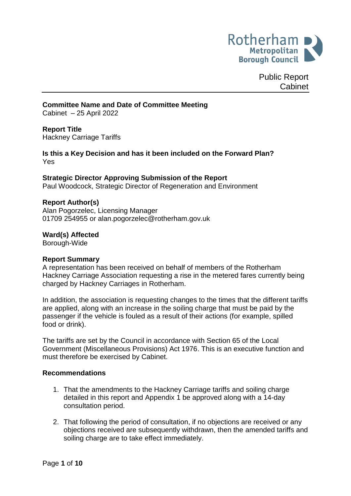

Public Report Cabinet

### **Committee Name and Date of Committee Meeting**

Cabinet – 25 April 2022

### **Report Title**

Hackney Carriage Tariffs

**Is this a Key Decision and has it been included on the Forward Plan?** Yes

### **Strategic Director Approving Submission of the Report**

Paul Woodcock, Strategic Director of Regeneration and Environment

#### **Report Author(s)**

<span id="page-0-0"></span>Alan Pogorzelec, Licensing Manager 01709 254955 or alan.pogorzelec@rotherham.gov.uk

#### **Ward(s) Affected**

Borough-Wide

#### **Report Summary**

A representation has been received on behalf of members of the Rotherham Hackney Carriage Association requesting a rise in the metered fares currently being charged by Hackney Carriages in Rotherham.

In addition, the association is requesting changes to the times that the different tariffs are applied, along with an increase in the soiling charge that must be paid by the passenger if the vehicle is fouled as a result of their actions (for example, spilled food or drink).

The tariffs are set by the Council in accordance with Section 65 of the Local Government (Miscellaneous Provisions) Act 1976. This is an executive function and must therefore be exercised by Cabinet.

#### **Recommendations**

- 1. That the amendments to the Hackney Carriage tariffs and soiling charge detailed in this report and Appendix 1 be approved along with a 14-day consultation period.
- 2. That following the period of consultation, if no objections are received or any objections received are subsequently withdrawn, then the amended tariffs and soiling charge are to take effect immediately.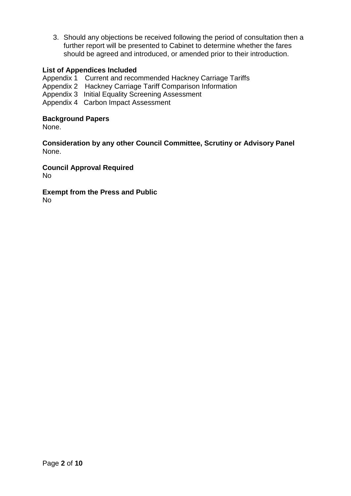3. Should any objections be received following the period of consultation then a further report will be presented to Cabinet to determine whether the fares should be agreed and introduced, or amended prior to their introduction.

# **List of Appendices Included**

Appendix 1 Current and recommended Hackney Carriage Tariffs

- Appendix 2 Hackney Carriage Tariff Comparison Information
- Appendix 3 Initial Equality Screening Assessment
- Appendix 4 Carbon Impact Assessment

### **Background Papers**

None.

**Consideration by any other Council Committee, Scrutiny or Advisory Panel** None.

**Council Approval Required** No

**Exempt from the Press and Public**

No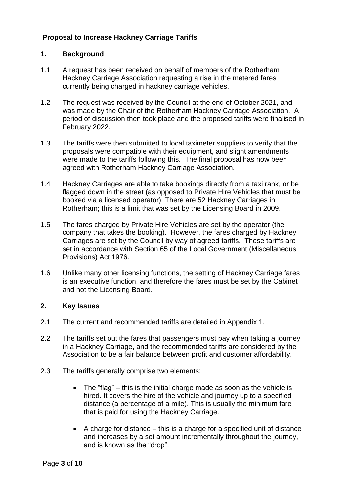# **Proposal to Increase Hackney Carriage Tariffs**

# **1. Background**

- 1.1 A request has been received on behalf of members of the Rotherham Hackney Carriage Association requesting a rise in the metered fares currently being charged in hackney carriage vehicles.
- 1.2 The request was received by the Council at the end of October 2021, and was made by the Chair of the Rotherham Hackney Carriage Association. A period of discussion then took place and the proposed tariffs were finalised in February 2022.
- 1.3 The tariffs were then submitted to local taximeter suppliers to verify that the proposals were compatible with their equipment, and slight amendments were made to the tariffs following this. The final proposal has now been agreed with Rotherham Hackney Carriage Association.
- 1.4 Hackney Carriages are able to take bookings directly from a taxi rank, or be flagged down in the street (as opposed to Private Hire Vehicles that must be booked via a licensed operator). There are 52 Hackney Carriages in Rotherham; this is a limit that was set by the Licensing Board in 2009.
- 1.5 The fares charged by Private Hire Vehicles are set by the operator (the company that takes the booking). However, the fares charged by Hackney Carriages are set by the Council by way of agreed tariffs. These tariffs are set in accordance with Section 65 of the Local Government (Miscellaneous Provisions) Act 1976.
- 1.6 Unlike many other licensing functions, the setting of Hackney Carriage fares is an executive function, and therefore the fares must be set by the Cabinet and not the Licensing Board.

### **2. Key Issues**

- 2.1 The current and recommended tariffs are detailed in Appendix 1.
- 2.2 The tariffs set out the fares that passengers must pay when taking a journey in a Hackney Carriage, and the recommended tariffs are considered by the Association to be a fair balance between profit and customer affordability.
- 2.3 The tariffs generally comprise two elements:
	- The "flag" this is the initial charge made as soon as the vehicle is hired. It covers the hire of the vehicle and journey up to a specified distance (a percentage of a mile). This is usually the minimum fare that is paid for using the Hackney Carriage.
	- A charge for distance this is a charge for a specified unit of distance and increases by a set amount incrementally throughout the journey, and is known as the "drop".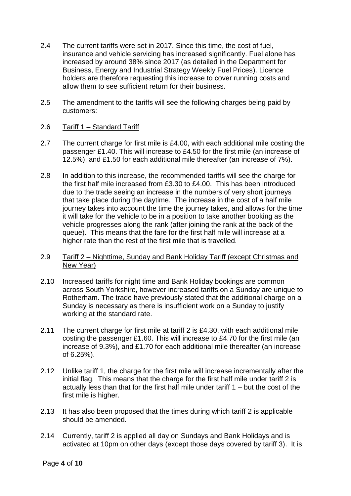- 2.4 The current tariffs were set in 2017. Since this time, the cost of fuel, insurance and vehicle servicing has increased significantly. Fuel alone has increased by around 38% since 2017 (as detailed in the Department for Business, Energy and Industrial Strategy Weekly Fuel Prices). Licence holders are therefore requesting this increase to cover running costs and allow them to see sufficient return for their business.
- 2.5 The amendment to the tariffs will see the following charges being paid by customers:
- 2.6 Tariff 1 Standard Tariff
- 2.7 The current charge for first mile is £4.00, with each additional mile costing the passenger £1.40. This will increase to £4.50 for the first mile (an increase of 12.5%), and £1.50 for each additional mile thereafter (an increase of 7%).
- 2.8 In addition to this increase, the recommended tariffs will see the charge for the first half mile increased from £3.30 to £4.00. This has been introduced due to the trade seeing an increase in the numbers of very short journeys that take place during the daytime. The increase in the cost of a half mile journey takes into account the time the journey takes, and allows for the time it will take for the vehicle to be in a position to take another booking as the vehicle progresses along the rank (after joining the rank at the back of the queue). This means that the fare for the first half mile will increase at a higher rate than the rest of the first mile that is travelled.
- 2.9 Tariff 2 Nighttime, Sunday and Bank Holiday Tariff (except Christmas and New Year)
- 2.10 Increased tariffs for night time and Bank Holiday bookings are common across South Yorkshire, however increased tariffs on a Sunday are unique to Rotherham. The trade have previously stated that the additional charge on a Sunday is necessary as there is insufficient work on a Sunday to justify working at the standard rate.
- 2.11 The current charge for first mile at tariff 2 is £4.30, with each additional mile costing the passenger £1.60. This will increase to £4.70 for the first mile (an increase of 9.3%), and £1.70 for each additional mile thereafter (an increase of 6.25%).
- 2.12 Unlike tariff 1, the charge for the first mile will increase incrementally after the initial flag. This means that the charge for the first half mile under tariff 2 is actually less than that for the first half mile under tariff 1 – but the cost of the first mile is higher.
- 2.13 It has also been proposed that the times during which tariff 2 is applicable should be amended.
- 2.14 Currently, tariff 2 is applied all day on Sundays and Bank Holidays and is activated at 10pm on other days (except those days covered by tariff 3). It is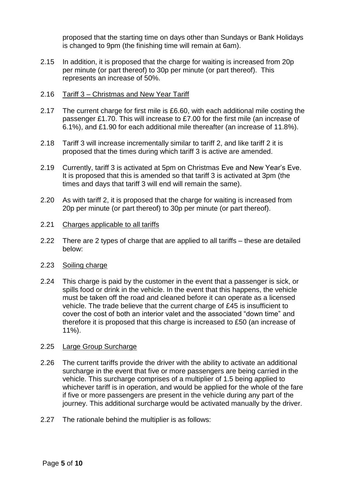proposed that the starting time on days other than Sundays or Bank Holidays is changed to 9pm (the finishing time will remain at 6am).

- 2.15 In addition, it is proposed that the charge for waiting is increased from 20p per minute (or part thereof) to 30p per minute (or part thereof). This represents an increase of 50%.
- 2.16 Tariff 3 Christmas and New Year Tariff
- 2.17 The current charge for first mile is £6.60, with each additional mile costing the passenger £1.70. This will increase to £7.00 for the first mile (an increase of 6.1%), and £1.90 for each additional mile thereafter (an increase of 11.8%).
- 2.18 Tariff 3 will increase incrementally similar to tariff 2, and like tariff 2 it is proposed that the times during which tariff 3 is active are amended.
- 2.19 Currently, tariff 3 is activated at 5pm on Christmas Eve and New Year's Eve. It is proposed that this is amended so that tariff 3 is activated at 3pm (the times and days that tariff 3 will end will remain the same).
- 2.20 As with tariff 2, it is proposed that the charge for waiting is increased from 20p per minute (or part thereof) to 30p per minute (or part thereof).
- 2.21 Charges applicable to all tariffs
- 2.22 There are 2 types of charge that are applied to all tariffs these are detailed below:
- 2.23 Soiling charge
- 2.24 This charge is paid by the customer in the event that a passenger is sick, or spills food or drink in the vehicle. In the event that this happens, the vehicle must be taken off the road and cleaned before it can operate as a licensed vehicle. The trade believe that the current charge of £45 is insufficient to cover the cost of both an interior valet and the associated "down time" and therefore it is proposed that this charge is increased to £50 (an increase of 11%).
- 2.25 Large Group Surcharge
- 2.26 The current tariffs provide the driver with the ability to activate an additional surcharge in the event that five or more passengers are being carried in the vehicle. This surcharge comprises of a multiplier of 1.5 being applied to whichever tariff is in operation, and would be applied for the whole of the fare if five or more passengers are present in the vehicle during any part of the journey. This additional surcharge would be activated manually by the driver.
- 2.27 The rationale behind the multiplier is as follows: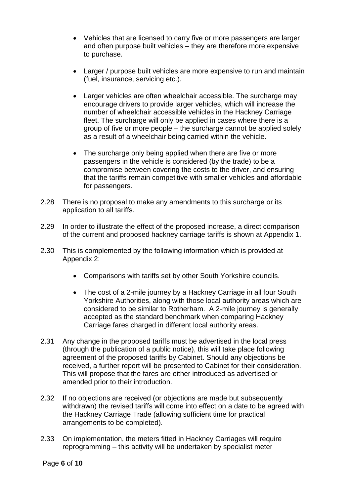- Vehicles that are licensed to carry five or more passengers are larger and often purpose built vehicles – they are therefore more expensive to purchase.
- Larger / purpose built vehicles are more expensive to run and maintain (fuel, insurance, servicing etc.).
- Larger vehicles are often wheelchair accessible. The surcharge may encourage drivers to provide larger vehicles, which will increase the number of wheelchair accessible vehicles in the Hackney Carriage fleet. The surcharge will only be applied in cases where there is a group of five or more people – the surcharge cannot be applied solely as a result of a wheelchair being carried within the vehicle.
- The surcharge only being applied when there are five or more passengers in the vehicle is considered (by the trade) to be a compromise between covering the costs to the driver, and ensuring that the tariffs remain competitive with smaller vehicles and affordable for passengers.
- 2.28 There is no proposal to make any amendments to this surcharge or its application to all tariffs.
- 2.29 In order to illustrate the effect of the proposed increase, a direct comparison of the current and proposed hackney carriage tariffs is shown at Appendix 1.
- 2.30 This is complemented by the following information which is provided at Appendix 2:
	- Comparisons with tariffs set by other South Yorkshire councils.
	- The cost of a 2-mile journey by a Hackney Carriage in all four South Yorkshire Authorities, along with those local authority areas which are considered to be similar to Rotherham. A 2-mile journey is generally accepted as the standard benchmark when comparing Hackney Carriage fares charged in different local authority areas.
- 2.31 Any change in the proposed tariffs must be advertised in the local press (through the publication of a public notice), this will take place following agreement of the proposed tariffs by Cabinet. Should any objections be received, a further report will be presented to Cabinet for their consideration. This will propose that the fares are either introduced as advertised or amended prior to their introduction.
- 2.32 If no objections are received (or objections are made but subsequently withdrawn) the revised tariffs will come into effect on a date to be agreed with the Hackney Carriage Trade (allowing sufficient time for practical arrangements to be completed).
- 2.33 On implementation, the meters fitted in Hackney Carriages will require reprogramming – this activity will be undertaken by specialist meter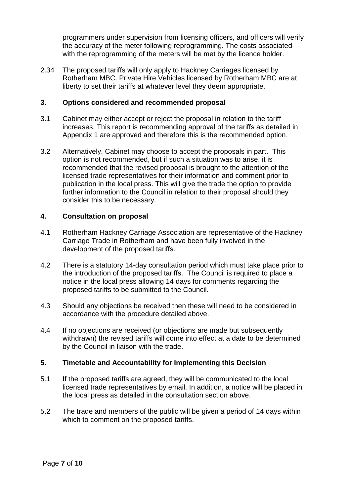programmers under supervision from licensing officers, and officers will verify the accuracy of the meter following reprogramming. The costs associated with the reprogramming of the meters will be met by the licence holder.

2.34 The proposed tariffs will only apply to Hackney Carriages licensed by Rotherham MBC. Private Hire Vehicles licensed by Rotherham MBC are at liberty to set their tariffs at whatever level they deem appropriate.

## **3. Options considered and recommended proposal**

- 3.1 Cabinet may either accept or reject the proposal in relation to the tariff increases. This report is recommending approval of the tariffs as detailed in Appendix 1 are approved and therefore this is the recommended option.
- 3.2 Alternatively, Cabinet may choose to accept the proposals in part. This option is not recommended, but if such a situation was to arise, it is recommended that the revised proposal is brought to the attention of the licensed trade representatives for their information and comment prior to publication in the local press. This will give the trade the option to provide further information to the Council in relation to their proposal should they consider this to be necessary.

### **4. Consultation on proposal**

- 4.1 Rotherham Hackney Carriage Association are representative of the Hackney Carriage Trade in Rotherham and have been fully involved in the development of the proposed tariffs.
- 4.2 There is a statutory 14-day consultation period which must take place prior to the introduction of the proposed tariffs. The Council is required to place a notice in the local press allowing 14 days for comments regarding the proposed tariffs to be submitted to the Council.
- 4.3 Should any objections be received then these will need to be considered in accordance with the procedure detailed above.
- 4.4 If no objections are received (or objections are made but subsequently withdrawn) the revised tariffs will come into effect at a date to be determined by the Council in liaison with the trade.

### **5. Timetable and Accountability for Implementing this Decision**

- 5.1 If the proposed tariffs are agreed, they will be communicated to the local licensed trade representatives by email. In addition, a notice will be placed in the local press as detailed in the consultation section above.
- 5.2 The trade and members of the public will be given a period of 14 days within which to comment on the proposed tariffs.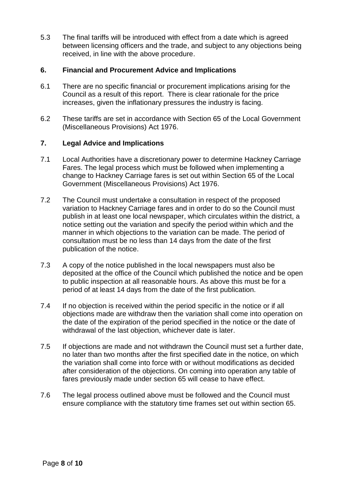5.3 The final tariffs will be introduced with effect from a date which is agreed between licensing officers and the trade, and subject to any objections being received, in line with the above procedure.

# **6. Financial and Procurement Advice and Implications**

- 6.1 There are no specific financial or procurement implications arising for the Council as a result of this report. There is clear rationale for the price increases, given the inflationary pressures the industry is facing.
- 6.2 These tariffs are set in accordance with Section 65 of the Local Government (Miscellaneous Provisions) Act 1976.

# **7. Legal Advice and Implications**

- 7.1 Local Authorities have a discretionary power to determine Hackney Carriage Fares. The legal process which must be followed when implementing a change to Hackney Carriage fares is set out within Section 65 of the Local Government (Miscellaneous Provisions) Act 1976.
- 7.2 The Council must undertake a consultation in respect of the proposed variation to Hackney Carriage fares and in order to do so the Council must publish in at least one local newspaper, which circulates within the district, a notice setting out the variation and specify the period within which and the manner in which objections to the variation can be made. The period of consultation must be no less than 14 days from the date of the first publication of the notice.
- 7.3 A copy of the notice published in the local newspapers must also be deposited at the office of the Council which published the notice and be open to public inspection at all reasonable hours. As above this must be for a period of at least 14 days from the date of the first publication.
- 7.4 If no objection is received within the period specific in the notice or if all objections made are withdraw then the variation shall come into operation on the date of the expiration of the period specified in the notice or the date of withdrawal of the last objection, whichever date is later.
- 7.5 If objections are made and not withdrawn the Council must set a further date, no later than two months after the first specified date in the notice, on which the variation shall come into force with or without modifications as decided after consideration of the objections. On coming into operation any table of fares previously made under section 65 will cease to have effect.
- 7.6 The legal process outlined above must be followed and the Council must ensure compliance with the statutory time frames set out within section 65.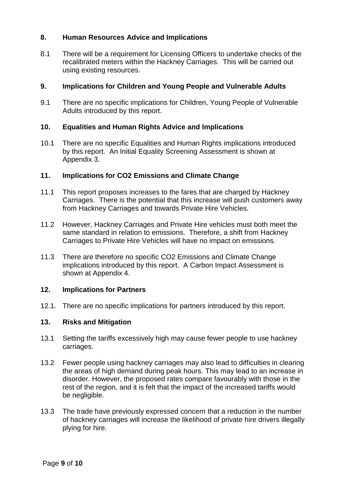# **8. Human Resources Advice and Implications**

8.1 There will be a requirement for Licensing Officers to undertake checks of the recalibrated meters within the Hackney Carriages. This will be carried out using existing resources.

## **9. Implications for Children and Young People and Vulnerable Adults**

9.1 There are no specific implications for Children, Young People of Vulnerable Adults introduced by this report.

# **10. Equalities and Human Rights Advice and Implications**

10.1 There are no specific Equalities and Human Rights implications introduced by this report. An Initial Equality Screening Assessment is shown at Appendix 3.

# **11. Implications for CO2 Emissions and Climate Change**

- 11.1 This report proposes increases to the fares that are charged by Hackney Carriages. There is the potential that this increase will push customers away from Hackney Carriages and towards Private Hire Vehicles.
- 11.2 However, Hackney Carriages and Private Hire vehicles must both meet the same standard in relation to emissions. Therefore, a shift from Hackney Carriages to Private Hire Vehicles will have no impact on emissions.
- 11.3 There are therefore no specific CO2 Emissions and Climate Change implications introduced by this report. A Carbon Impact Assessment is shown at Appendix 4.

### **12. Implications for Partners**

12.1. There are no specific implications for partners introduced by this report.

# **13. Risks and Mitigation**

- 13.1 Setting the tariffs excessively high may cause fewer people to use hackney carriages.
- 13.2 Fewer people using hackney carriages may also lead to difficulties in clearing the areas of high demand during peak hours. This may lead to an increase in disorder. However, the proposed rates compare favourably with those in the rest of the region, and it is felt that the impact of the increased tariffs would be negligible.
- 13.3 The trade have previously expressed concern that a reduction in the number of hackney carriages will increase the likelihood of private hire drivers illegally plying for hire.